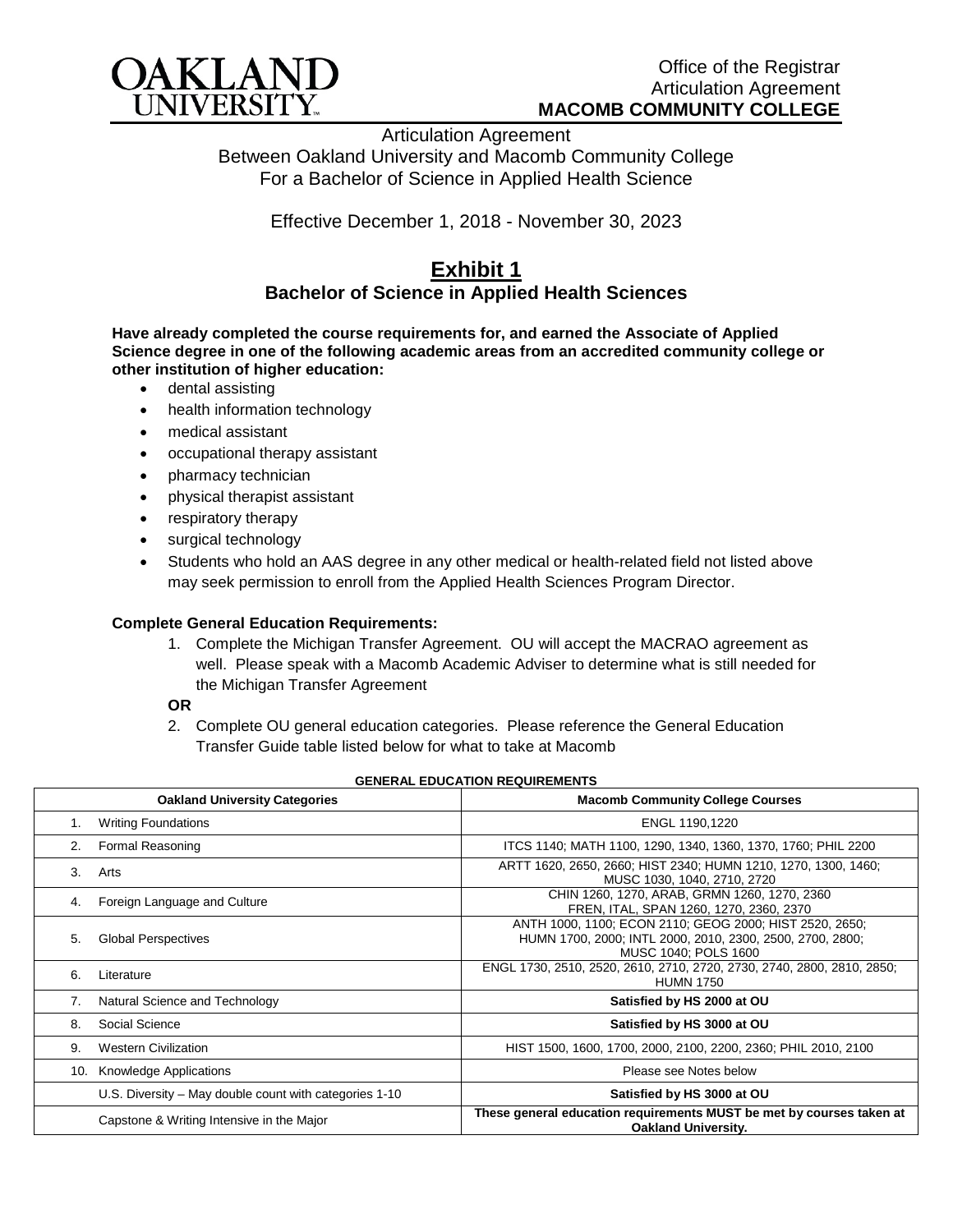

Articulation Agreement Between Oakland University and Macomb Community College For a Bachelor of Science in Applied Health Science

Effective December 1, 2018 - November 30, 2023

## **Exhibit 1 Bachelor of Science in Applied Health Sciences**

**Have already completed the course requirements for, and earned the Associate of Applied Science degree in one of the following academic areas from an accredited community college or other institution of higher education:**

- dental assisting
- health information technology
- medical assistant
- occupational therapy assistant
- pharmacy technician
- physical therapist assistant
- respiratory therapy
- surgical technology
- Students who hold an AAS degree in any other medical or health-related field not listed above may seek permission to enroll from the Applied Health Sciences Program Director.

## **Complete General Education Requirements:**

1. Complete the Michigan Transfer Agreement. OU will accept the MACRAO agreement as well. Please speak with a Macomb Academic Adviser to determine what is still needed for the Michigan Transfer Agreement

## **OR**

2. Complete OU general education categories. Please reference the General Education Transfer Guide table listed below for what to take at Macomb

|     | <b>Oakland University Categories</b>                   | <b>Macomb Community College Courses</b>                                                                                                      |
|-----|--------------------------------------------------------|----------------------------------------------------------------------------------------------------------------------------------------------|
| 1.  | <b>Writing Foundations</b>                             | ENGL 1190,1220                                                                                                                               |
| 2.  | Formal Reasoning                                       | ITCS 1140; MATH 1100, 1290, 1340, 1360, 1370, 1760; PHIL 2200                                                                                |
| 3.  | Arts                                                   | ARTT 1620, 2650, 2660; HIST 2340; HUMN 1210, 1270, 1300, 1460;<br>MUSC 1030, 1040, 2710, 2720                                                |
| 4.  | Foreign Language and Culture                           | CHIN 1260, 1270, ARAB, GRMN 1260, 1270, 2360<br>FREN, ITAL, SPAN 1260, 1270, 2360, 2370                                                      |
| 5.  | <b>Global Perspectives</b>                             | ANTH 1000, 1100; ECON 2110; GEOG 2000; HIST 2520, 2650;<br>HUMN 1700, 2000; INTL 2000, 2010, 2300, 2500, 2700, 2800;<br>MUSC 1040; POLS 1600 |
| 6.  | Literature                                             | ENGL 1730, 2510, 2520, 2610, 2710, 2720, 2730, 2740, 2800, 2810, 2850;<br><b>HUMN 1750</b>                                                   |
| 7.  | Natural Science and Technology                         | Satisfied by HS 2000 at OU                                                                                                                   |
| 8.  | Social Science                                         | Satisfied by HS 3000 at OU                                                                                                                   |
| 9.  | <b>Western Civilization</b>                            | HIST 1500, 1600, 1700, 2000, 2100, 2200, 2360; PHIL 2010, 2100                                                                               |
| 10. | Knowledge Applications                                 | Please see Notes below                                                                                                                       |
|     | U.S. Diversity – May double count with categories 1-10 | Satisfied by HS 3000 at OU                                                                                                                   |
|     | Capstone & Writing Intensive in the Major              | These general education requirements MUST be met by courses taken at<br><b>Oakland University.</b>                                           |

## **GENERAL EDUCATION REQUIREMENTS**